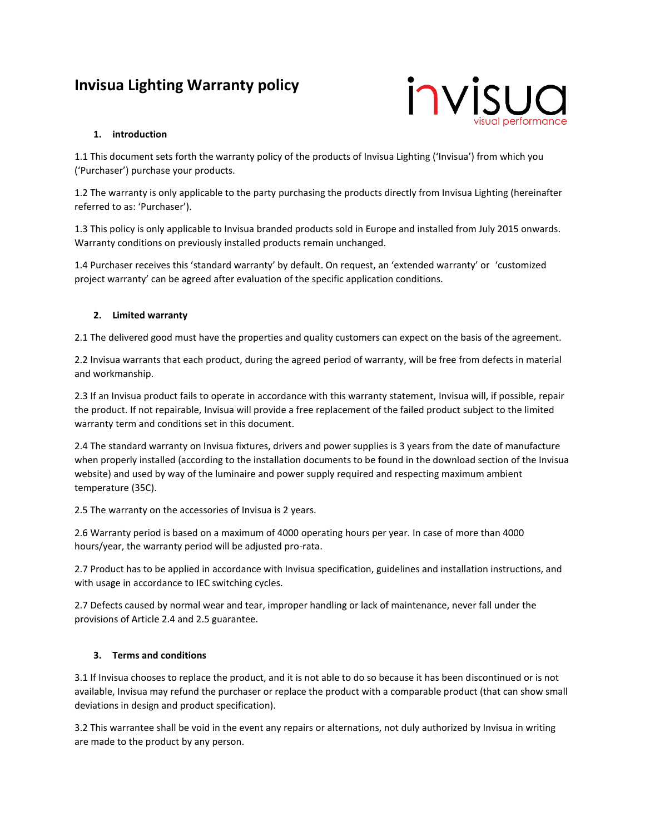# **Invisua Lighting Warranty policy**



## **1. introduction**

1.1 This document sets forth the warranty policy of the products of Invisua Lighting ('Invisua') from which you ('Purchaser') purchase your products.

1.2 The warranty is only applicable to the party purchasing the products directly from Invisua Lighting (hereinafter referred to as: 'Purchaser').

1.3 This policy is only applicable to Invisua branded products sold in Europe and installed from July 2015 onwards. Warranty conditions on previously installed products remain unchanged.

1.4 Purchaser receives this 'standard warranty' by default. On request, an 'extended warranty' or 'customized project warranty' can be agreed after evaluation of the specific application conditions.

## **2. Limited warranty**

2.1 The delivered good must have the properties and quality customers can expect on the basis of the agreement.

2.2 Invisua warrants that each product, during the agreed period of warranty, will be free from defects in material and workmanship.

2.3 If an Invisua product fails to operate in accordance with this warranty statement, Invisua will, if possible, repair the product. If not repairable, Invisua will provide a free replacement of the failed product subject to the limited warranty term and conditions set in this document.

2.4 The standard warranty on Invisua fixtures, drivers and power supplies is 3 years from the date of manufacture when properly installed (according to the installation documents to be found in the download section of the Invisua website) and used by way of the luminaire and power supply required and respecting maximum ambient temperature (35C).

2.5 The warranty on the accessories of Invisua is 2 years.

2.6 Warranty period is based on a maximum of 4000 operating hours per year. In case of more than 4000 hours/year, the warranty period will be adjusted pro-rata.

2.7 Product has to be applied in accordance with Invisua specification, guidelines and installation instructions, and with usage in accordance to IEC switching cycles.

2.7 Defects caused by normal wear and tear, improper handling or lack of maintenance, never fall under the provisions of Article 2.4 and 2.5 guarantee.

# **3. Terms and conditions**

3.1 If Invisua chooses to replace the product, and it is not able to do so because it has been discontinued or is not available, Invisua may refund the purchaser or replace the product with a comparable product (that can show small deviations in design and product specification).

3.2 This warrantee shall be void in the event any repairs or alternations, not duly authorized by Invisua in writing are made to the product by any person.